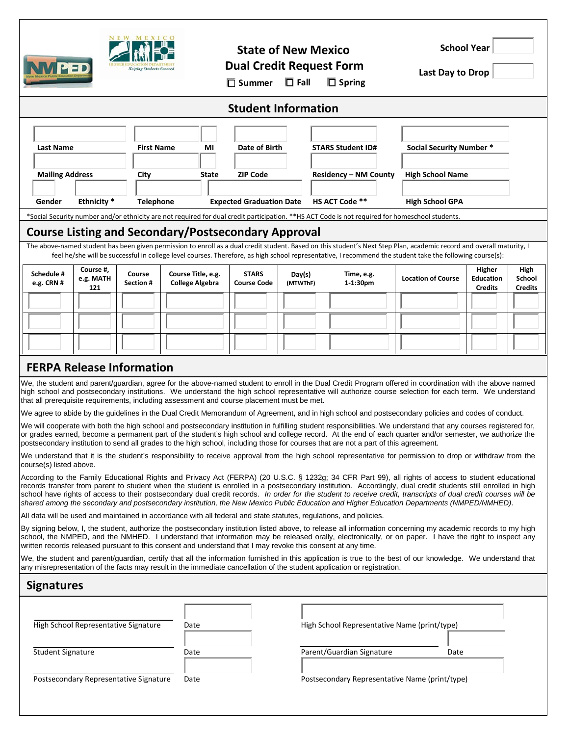|                                                                                                                                                                                                                                                                                                                                                                                                                                                                                                                                                                                                                                                                                                                                                                                                                                                                                                                                                                                                                                                                                                                                                                                                                                      |                               | NEW MEXICO<br><b>Helping Students Succeed</b> |                                              | $\square$ Summer                |                                    | <b>State of New Mexico</b><br><b>Dual Credit Request Form</b><br>$\Box$ Fall |                              | $\Box$ Spring                                | <b>School Year</b><br>Last Day to Drop |                                              |                                         |
|--------------------------------------------------------------------------------------------------------------------------------------------------------------------------------------------------------------------------------------------------------------------------------------------------------------------------------------------------------------------------------------------------------------------------------------------------------------------------------------------------------------------------------------------------------------------------------------------------------------------------------------------------------------------------------------------------------------------------------------------------------------------------------------------------------------------------------------------------------------------------------------------------------------------------------------------------------------------------------------------------------------------------------------------------------------------------------------------------------------------------------------------------------------------------------------------------------------------------------------|-------------------------------|-----------------------------------------------|----------------------------------------------|---------------------------------|------------------------------------|------------------------------------------------------------------------------|------------------------------|----------------------------------------------|----------------------------------------|----------------------------------------------|-----------------------------------------|
| <b>Student Information</b>                                                                                                                                                                                                                                                                                                                                                                                                                                                                                                                                                                                                                                                                                                                                                                                                                                                                                                                                                                                                                                                                                                                                                                                                           |                               |                                               |                                              |                                 |                                    |                                                                              |                              |                                              |                                        |                                              |                                         |
|                                                                                                                                                                                                                                                                                                                                                                                                                                                                                                                                                                                                                                                                                                                                                                                                                                                                                                                                                                                                                                                                                                                                                                                                                                      |                               |                                               |                                              |                                 |                                    |                                                                              |                              |                                              |                                        |                                              |                                         |
| <b>Last Name</b>                                                                                                                                                                                                                                                                                                                                                                                                                                                                                                                                                                                                                                                                                                                                                                                                                                                                                                                                                                                                                                                                                                                                                                                                                     |                               | <b>First Name</b>                             | ΜI                                           | Date of Birth                   |                                    |                                                                              | <b>STARS Student ID#</b>     |                                              | <b>Social Security Number *</b>        |                                              |                                         |
| <b>Mailing Address</b>                                                                                                                                                                                                                                                                                                                                                                                                                                                                                                                                                                                                                                                                                                                                                                                                                                                                                                                                                                                                                                                                                                                                                                                                               |                               | City                                          | State                                        |                                 | <b>ZIP Code</b>                    |                                                                              | <b>Residency - NM County</b> |                                              | <b>High School Name</b>                |                                              |                                         |
| Gender                                                                                                                                                                                                                                                                                                                                                                                                                                                                                                                                                                                                                                                                                                                                                                                                                                                                                                                                                                                                                                                                                                                                                                                                                               | Ethnicity *                   | <b>Telephone</b>                              |                                              | <b>Expected Graduation Date</b> |                                    |                                                                              |                              | HS ACT Code **                               | <b>High School GPA</b>                 |                                              |                                         |
| *Social Security number and/or ethnicity are not required for dual credit participation. **HS ACT Code is not required for homeschool students.                                                                                                                                                                                                                                                                                                                                                                                                                                                                                                                                                                                                                                                                                                                                                                                                                                                                                                                                                                                                                                                                                      |                               |                                               |                                              |                                 |                                    |                                                                              |                              |                                              |                                        |                                              |                                         |
| <b>Course Listing and Secondary/Postsecondary Approval</b>                                                                                                                                                                                                                                                                                                                                                                                                                                                                                                                                                                                                                                                                                                                                                                                                                                                                                                                                                                                                                                                                                                                                                                           |                               |                                               |                                              |                                 |                                    |                                                                              |                              |                                              |                                        |                                              |                                         |
| The above-named student has been given permission to enroll as a dual credit student. Based on this student's Next Step Plan, academic record and overall maturity, I<br>feel he/she will be successful in college level courses. Therefore, as high school representative, I recommend the student take the following course(s):                                                                                                                                                                                                                                                                                                                                                                                                                                                                                                                                                                                                                                                                                                                                                                                                                                                                                                    |                               |                                               |                                              |                                 |                                    |                                                                              |                              |                                              |                                        |                                              |                                         |
| Schedule #<br>e.g. CRN #                                                                                                                                                                                                                                                                                                                                                                                                                                                                                                                                                                                                                                                                                                                                                                                                                                                                                                                                                                                                                                                                                                                                                                                                             | Course #,<br>e.g. MATH<br>121 | Course<br><b>Section #</b>                    | Course Title, e.g.<br><b>College Algebra</b> |                                 | <b>STARS</b><br><b>Course Code</b> | Day(s)<br>(MTWThF)                                                           |                              | Time, e.g.<br>1-1:30pm                       | <b>Location of Course</b>              | Higher<br><b>Education</b><br><b>Credits</b> | High<br><b>School</b><br><b>Credits</b> |
|                                                                                                                                                                                                                                                                                                                                                                                                                                                                                                                                                                                                                                                                                                                                                                                                                                                                                                                                                                                                                                                                                                                                                                                                                                      |                               |                                               |                                              |                                 |                                    |                                                                              |                              |                                              |                                        |                                              |                                         |
|                                                                                                                                                                                                                                                                                                                                                                                                                                                                                                                                                                                                                                                                                                                                                                                                                                                                                                                                                                                                                                                                                                                                                                                                                                      |                               |                                               |                                              |                                 |                                    |                                                                              |                              |                                              |                                        |                                              |                                         |
|                                                                                                                                                                                                                                                                                                                                                                                                                                                                                                                                                                                                                                                                                                                                                                                                                                                                                                                                                                                                                                                                                                                                                                                                                                      |                               |                                               |                                              |                                 |                                    |                                                                              |                              |                                              |                                        |                                              |                                         |
| <b>FERPA Release Information</b>                                                                                                                                                                                                                                                                                                                                                                                                                                                                                                                                                                                                                                                                                                                                                                                                                                                                                                                                                                                                                                                                                                                                                                                                     |                               |                                               |                                              |                                 |                                    |                                                                              |                              |                                              |                                        |                                              |                                         |
| We, the student and parent/guardian, agree for the above-named student to enroll in the Dual Credit Program offered in coordination with the above named<br>high school and postsecondary institutions. We understand the high school representative will authorize course selection for each term. We understand<br>that all prerequisite requirements, including assessment and course placement must be met.<br>We agree to abide by the guidelines in the Dual Credit Memorandum of Agreement, and in high school and postsecondary policies and codes of conduct.<br>We will cooperate with both the high school and postsecondary institution in fulfilling student responsibilities. We understand that any courses registered for,<br>or grades earned, become a permanent part of the student's high school and college record. At the end of each quarter and/or semester, we authorize the<br>postsecondary institution to send all grades to the high school, including those for courses that are not a part of this agreement.<br>We understand that it is the student's responsibility to receive approval from the high school representative for permission to drop or withdraw from the<br>course(s) listed above. |                               |                                               |                                              |                                 |                                    |                                                                              |                              |                                              |                                        |                                              |                                         |
| According to the Family Educational Rights and Privacy Act (FERPA) (20 U.S.C. § 1232g; 34 CFR Part 99), all rights of access to student educational<br>records transfer from parent to student when the student is enrolled in a postsecondary institution. Accordingly, dual credit students still enrolled in high<br>school have rights of access to their postsecondary dual credit records. In order for the student to receive credit, transcripts of dual credit courses will be<br>shared among the secondary and postsecondary institution, the New Mexico Public Education and Higher Education Departments (NMPED/NMHED).                                                                                                                                                                                                                                                                                                                                                                                                                                                                                                                                                                                                 |                               |                                               |                                              |                                 |                                    |                                                                              |                              |                                              |                                        |                                              |                                         |
| All data will be used and maintained in accordance with all federal and state statutes, regulations, and policies.                                                                                                                                                                                                                                                                                                                                                                                                                                                                                                                                                                                                                                                                                                                                                                                                                                                                                                                                                                                                                                                                                                                   |                               |                                               |                                              |                                 |                                    |                                                                              |                              |                                              |                                        |                                              |                                         |
| By signing below, I, the student, authorize the postsecondary institution listed above, to release all information concerning my academic records to my high<br>school, the NMPED, and the NMHED. I understand that information may be released orally, electronically, or on paper. I have the right to inspect any<br>written records released pursuant to this consent and understand that I may revoke this consent at any time.                                                                                                                                                                                                                                                                                                                                                                                                                                                                                                                                                                                                                                                                                                                                                                                                 |                               |                                               |                                              |                                 |                                    |                                                                              |                              |                                              |                                        |                                              |                                         |
| We, the student and parent/guardian, certify that all the information furnished in this application is true to the best of our knowledge. We understand that<br>any misrepresentation of the facts may result in the immediate cancellation of the student application or registration.                                                                                                                                                                                                                                                                                                                                                                                                                                                                                                                                                                                                                                                                                                                                                                                                                                                                                                                                              |                               |                                               |                                              |                                 |                                    |                                                                              |                              |                                              |                                        |                                              |                                         |
| <b>Signatures</b>                                                                                                                                                                                                                                                                                                                                                                                                                                                                                                                                                                                                                                                                                                                                                                                                                                                                                                                                                                                                                                                                                                                                                                                                                    |                               |                                               |                                              |                                 |                                    |                                                                              |                              |                                              |                                        |                                              |                                         |
| High School Representative Signature                                                                                                                                                                                                                                                                                                                                                                                                                                                                                                                                                                                                                                                                                                                                                                                                                                                                                                                                                                                                                                                                                                                                                                                                 |                               |                                               | Date                                         |                                 |                                    |                                                                              |                              | High School Representative Name (print/type) |                                        |                                              |                                         |
| <b>Student Signature</b>                                                                                                                                                                                                                                                                                                                                                                                                                                                                                                                                                                                                                                                                                                                                                                                                                                                                                                                                                                                                                                                                                                                                                                                                             |                               |                                               | Date                                         |                                 |                                    | Parent/Guardian Signature<br>Date                                            |                              |                                              |                                        |                                              |                                         |
| Postsecondary Representative Signature<br>Postsecondary Representative Name (print/type)<br>Date                                                                                                                                                                                                                                                                                                                                                                                                                                                                                                                                                                                                                                                                                                                                                                                                                                                                                                                                                                                                                                                                                                                                     |                               |                                               |                                              |                                 |                                    |                                                                              |                              |                                              |                                        |                                              |                                         |